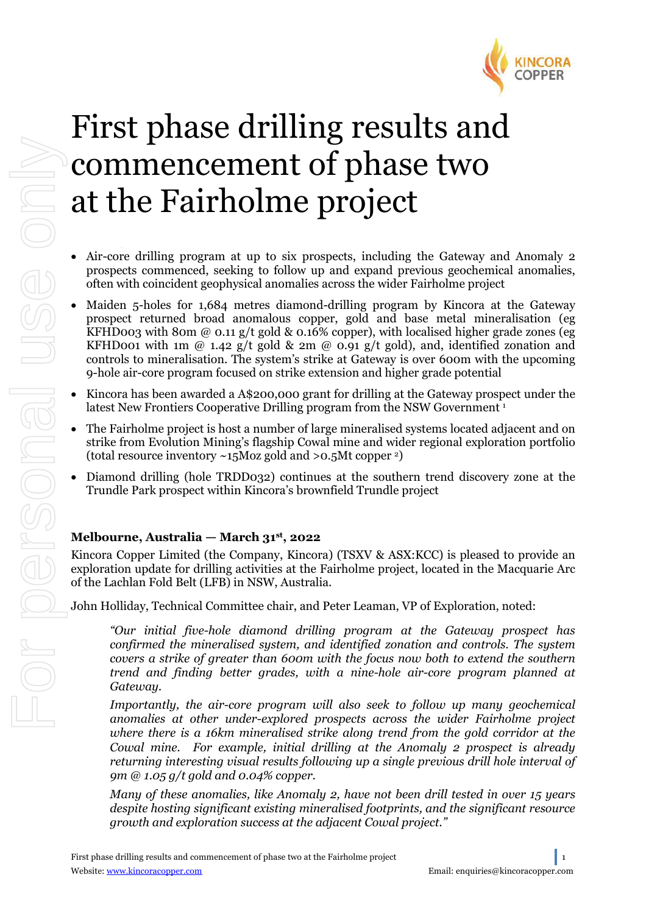

# First phase drilling results and commencement of phase two at the Fairholme project

- Air-core drilling program at up to six prospects, including the Gateway and Anomaly 2 prospects commenced, seeking to follow up and expand previous geochemical anomalies, often with coincident geophysical anomalies across the wider Fairholme project
- Maiden 5-holes for 1,684 metres diamond-drilling program by Kincora at the Gateway prospect returned broad anomalous copper, gold and base metal mineralisation (eg KFHD003 with 80m @ 0.11 g/t gold & 0.16% copper), with localised higher grade zones (eg KFHD001 with 1m  $\omega$  1.42 g/t gold & 2m  $\omega$  0.91 g/t gold), and, identified zonation and controls to mineralisation. The system's strike at Gateway is over 600m with the upcoming 9-hole air-core program focused on strike extension and higher grade potential
- Kincora has been awarded a A\$200,000 grant for drilling at the Gateway prospect under the latest New Frontiers Cooperative Drilling program from the NSW Government<sup>1</sup> latest New Frontiers Cooperative Drilling program from the NSW Government<sup>1</sup>
- The Fairholme project is host a number of large mineralised systems located adjacent and on strike from Evolution Mining's flagship Cowal mine and wider regional exploration portfolio (total resource inventory  $\sim$ 15Moz gold and >0.5Mt copper  $\sim$ )
- Diamond drilling (hole TRDD032) continues at the southern trend discovery zone at the Trundle Park prospect within Kincora's brownfield Trundle project

## **Melbourne, Australia — March 31st, 2022**

Kincora Copper Limited (the Company, Kincora) (TSXV & ASX:KCC) is pleased to provide an exploration update for drilling activities at the Fairholme project, located in the Macquarie Arc of the Lachlan Fold Belt (LFB) in NSW, Australia.

John Holliday, Technical Committee chair, and Peter Leaman, VP of Exploration, noted:

*"Our initial five-hole diamond drilling program at the Gateway prospect has confirmed the mineralised system, and identified zonation and controls. The system covers a strike of greater than 600m with the focus now both to extend the southern trend and finding better grades, with a nine-hole air-core program planned at Gateway.*

*Importantly, the air-core program will also seek to follow up many geochemical anomalies at other under-explored prospects across the wider Fairholme project where there is a 16km mineralised strike along trend from the gold corridor at the Cowal mine. For example, initial drilling at the Anomaly 2 prospect is already returning interesting visual results following up a single previous drill hole interval of 9m @ 1.05 g/t gold and 0.04% copper.* 

*Many of these anomalies, like Anomaly 2, have not been drill tested in over 15 years despite hosting significant existing mineralised footprints, and the significant resource growth and exploration success at the adjacent Cowal project."*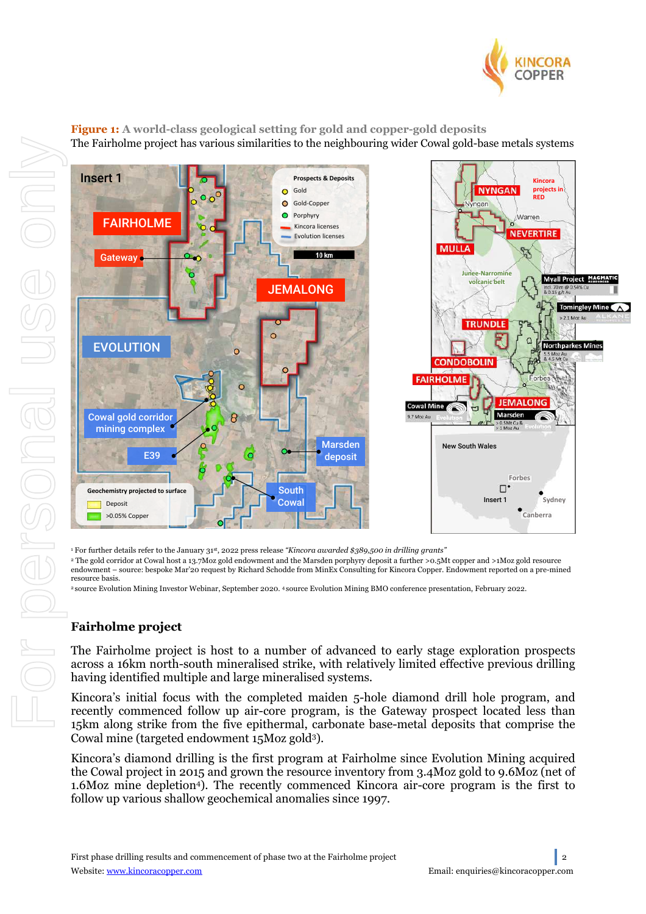

**Figure 1: A world-class geological setting for gold and copper-gold deposits** The Fairholme project has various similarities to the neighbouring wider Cowal gold-base metals systems



<sup>1</sup> For further details refer to the January 31st, 2022 press release *"Kincora awarded \$389,500 in drilling grants"*

<sup>2</sup> The gold corridor at Cowal host a 13.7Moz gold endowment and the Marsden porphyry deposit a further >0.5Mt copper and >1Moz gold resource endowment – source: bespoke Mar'20 request by Richard Schodde from MinEx Consulting for Kincora Copper. Endowment reported on a pre-mined resource basis.

2 source Evolution Mining Investor Webinar, September 2020. <sup>4</sup> source Evolution Mining BMO conference presentation, February 2022.

## **Fairholme project**

The Fairholme project is host to a number of advanced to early stage exploration prospects across a 16km north-south mineralised strike, with relatively limited effective previous drilling having identified multiple and large mineralised systems.

Kincora's initial focus with the completed maiden 5-hole diamond drill hole program, and recently commenced follow up air-core program, is the Gateway prospect located less than 15km along strike from the five epithermal, carbonate base-metal deposits that comprise the Cowal mine (targeted endowment 15Moz gold3).

Kincora's diamond drilling is the first program at Fairholme since Evolution Mining acquired the Cowal project in 2015 and grown the resource inventory from 3.4Moz gold to 9.6Moz (net of 1.6Moz mine depletion4). The recently commenced Kincora air-core program is the first to follow up various shallow geochemical anomalies since 1997.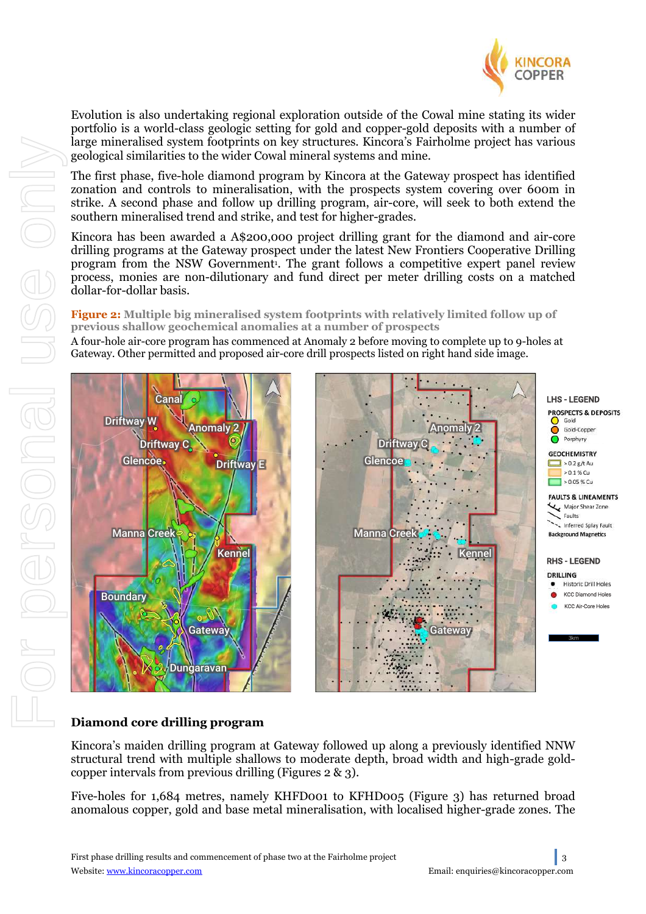

Evolution is also undertaking regional exploration outside of the Cowal mine stating its wider portfolio is a world-class geologic setting for gold and copper-gold deposits with a number of large mineralised system footprints on key structures. Kincora's Fairholme project has various geological similarities to the wider Cowal mineral systems and mine.

The first phase, five-hole diamond program by Kincora at the Gateway prospect has identified zonation and controls to mineralisation, with the prospects system covering over 600m in strike. A second phase and follow up drilling program, air-core, will seek to both extend the southern mineralised trend and strike, and test for higher-grades.

Kincora has been awarded a A\$200,000 project drilling grant for the diamond and air-core drilling programs at the Gateway prospect under the latest New Frontiers Cooperative Drilling program from the NSW Government<sup>1</sup>. The grant follows a competitive expert panel review process, monies are non-dilutionary and fund direct per meter drilling costs on a matched dollar-for-dollar basis.

## **Figure 2: Multiple big mineralised system footprints with relatively limited follow up of previous shallow geochemical anomalies at a number of prospects**

A four-hole air-core program has commenced at Anomaly 2 before moving to complete up to 9-holes at Gateway. Other permitted and proposed air-core drill prospects listed on right hand side image.



## **Diamond core drilling program**

Kincora's maiden drilling program at Gateway followed up along a previously identified NNW structural trend with multiple shallows to moderate depth, broad width and high-grade goldcopper intervals from previous drilling (Figures 2 & 3).

Five-holes for 1,684 metres, namely KHFD001 to KFHD005 (Figure 3) has returned broad anomalous copper, gold and base metal mineralisation, with localised higher-grade zones. The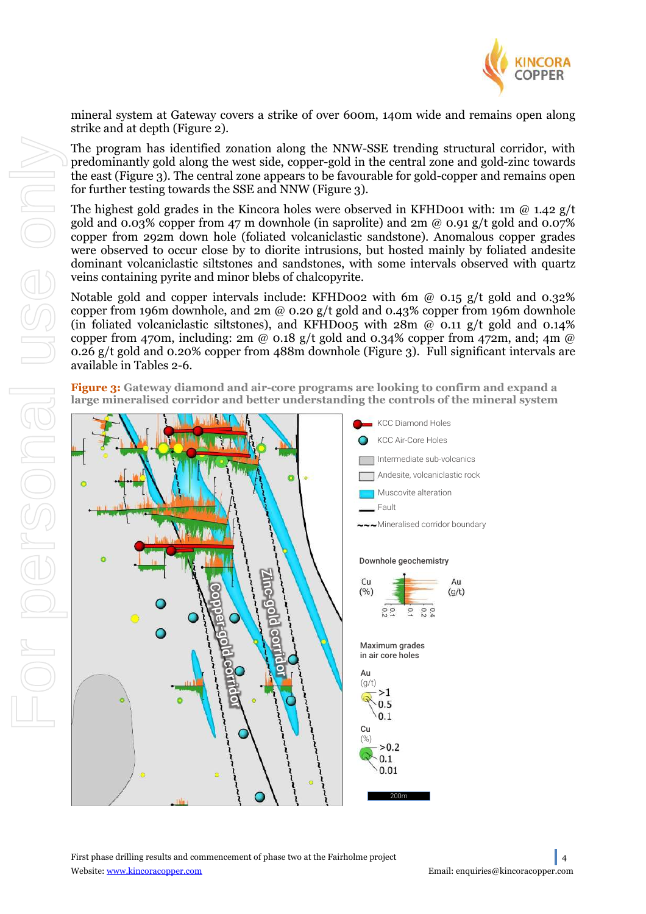

mineral system at Gateway covers a strike of over 600m, 140m wide and remains open along strike and at depth (Figure 2).

The program has identified zonation along the NNW-SSE trending structural corridor, with predominantly gold along the west side, copper-gold in the central zone and gold-zinc towards the east (Figure 3). The central zone appears to be favourable for gold-copper and remains open for further testing towards the SSE and NNW (Figure 3).

The highest gold grades in the Kincora holes were observed in KFHD001 with: 1m  $\omega$  1.42 g/t gold and 0.03% copper from 47 m downhole (in saprolite) and 2m  $\omega$  0.91 g/t gold and 0.07% copper from 292m down hole (foliated volcaniclastic sandstone). Anomalous copper grades were observed to occur close by to diorite intrusions, but hosted mainly by foliated andesite dominant volcaniclastic siltstones and sandstones, with some intervals observed with quartz veins containing pyrite and minor blebs of chalcopyrite.

Notable gold and copper intervals include: KFHD002 with 6m  $\omega$  0.15 g/t gold and 0.32% copper from 196m downhole, and  $2m \omega$  0.20 g/t gold and 0.43% copper from 196m downhole (in foliated volcaniclastic siltstones), and KFHD005 with  $28m \omega$  0.11 g/t gold and 0.14% copper from 470m, including: 2m @ 0.18 g/t gold and 0.34% copper from 472m, and; 4m @ 0.26 g/t gold and 0.20% copper from 488m downhole (Figure 3). Full significant intervals are available in Tables 2-6.

**Figure 3: Gateway diamond and air-core programs are looking to confirm and expand a large mineralised corridor and better understanding the controls of the mineral system**

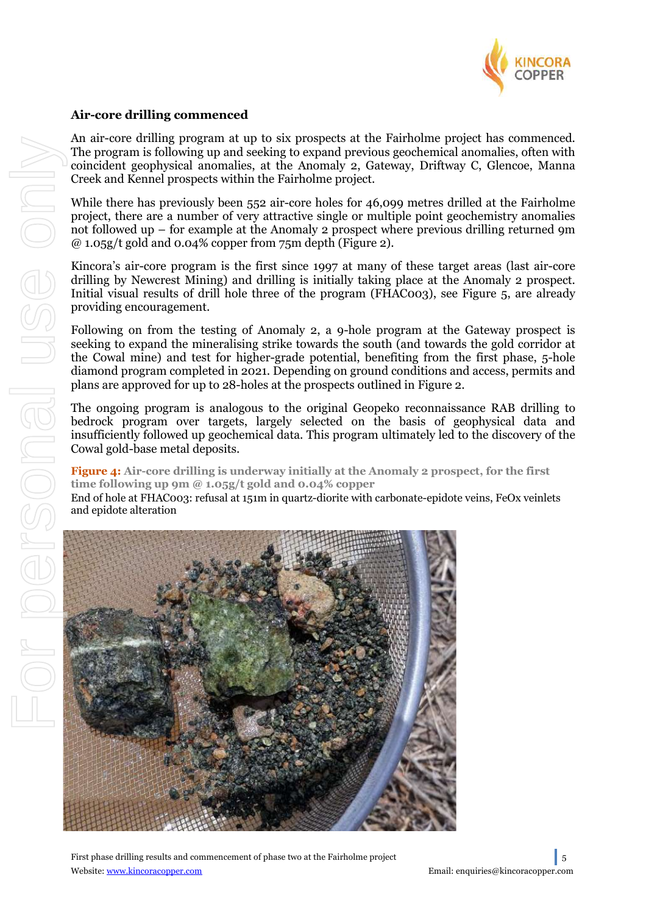

## **Air-core drilling commenced**

An air-core drilling program at up to six prospects at the Fairholme project has commenced. The program is following up and seeking to expand previous geochemical anomalies, often with coincident geophysical anomalies, at the Anomaly 2, Gateway, Driftway C, Glencoe, Manna Creek and Kennel prospects within the Fairholme project.

While there has previously been 552 air-core holes for 46,099 metres drilled at the Fairholme project, there are a number of very attractive single or multiple point geochemistry anomalies not followed up – for example at the Anomaly 2 prospect where previous drilling returned 9m  $\omega$  1.05g/t gold and 0.04% copper from 75m depth (Figure 2).

Kincora's air-core program is the first since 1997 at many of these target areas (last air-core drilling by Newcrest Mining) and drilling is initially taking place at the Anomaly 2 prospect. Initial visual results of drill hole three of the program (FHAC003), see Figure 5, are already providing encouragement.

Following on from the testing of Anomaly 2, a 9-hole program at the Gateway prospect is seeking to expand the mineralising strike towards the south (and towards the gold corridor at the Cowal mine) and test for higher-grade potential, benefiting from the first phase, 5-hole diamond program completed in 2021. Depending on ground conditions and access, permits and plans are approved for up to 28-holes at the prospects outlined in Figure 2.

The ongoing program is analogous to the original Geopeko reconnaissance RAB drilling to bedrock program over targets, largely selected on the basis of geophysical data and insufficiently followed up geochemical data. This program ultimately led to the discovery of the Cowal gold-base metal deposits.

**Figure 4: Air-core drilling is underway initially at the Anomaly 2 prospect, for the first time following up 9m @ 1.05g/t gold and 0.04% copper**

End of hole at FHAC003: refusal at 151m in quartz-diorite with carbonate-epidote veins, FeOx veinlets and epidote alteration



First phase drilling results and commencement of phase two at the Fairholme project 5 Website: www.kincoracopper.com enterprise of the enterprise of the Email: enquiries@kincoracopper.com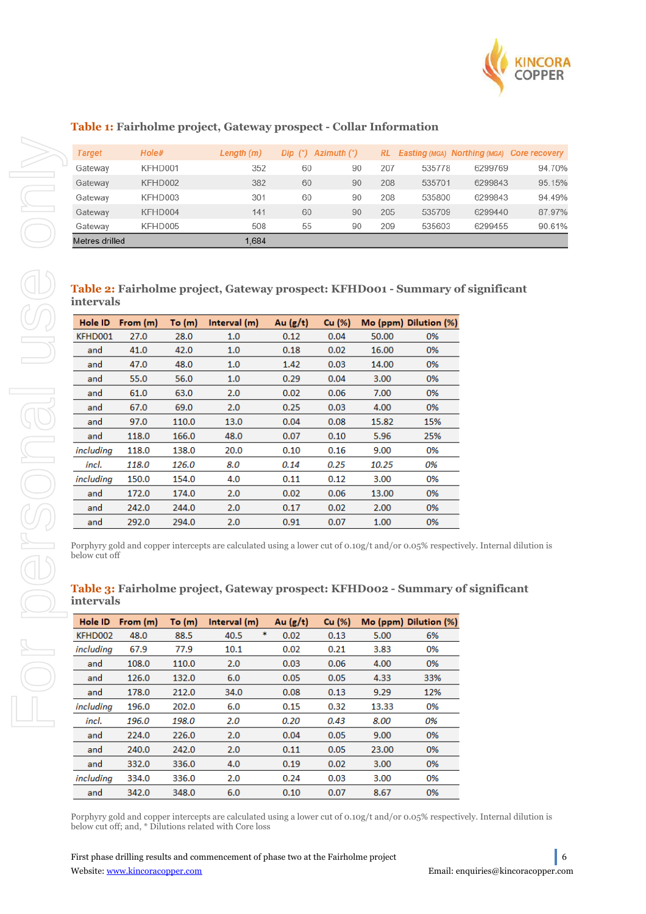

## **Table 1: Fairholme project, Gateway prospect - Collar Information**

| <b>Target</b>  | Hole#   | Length $(m)$ | Dip $(°)$ Azimuth $(°)$ |    |     |        | RL Easting (MGA) Northing (MGA) Core recovery |        |
|----------------|---------|--------------|-------------------------|----|-----|--------|-----------------------------------------------|--------|
| Gateway        | KFHD001 | 352          | 60                      | 90 | 207 | 535778 | 6299769                                       | 94.70% |
| Gateway        | KFHD002 | 382          | 60                      | 90 | 208 | 535701 | 6299843                                       | 95.15% |
| Gateway        | KFHD003 | 301          | 60                      | 90 | 208 | 535800 | 6299843                                       | 94.49% |
| Gateway        | KFHD004 | 141          | 60                      | 90 | 205 | 535709 | 6299440                                       | 87.97% |
| Gateway        | KFHD005 | 508          | 55                      | 90 | 209 | 535603 | 6299455                                       | 90.61% |
| Metres drilled |         | 1.684        |                         |    |     |        |                                               |        |

## **Table 2: Fairholme project, Gateway prospect: KFHD001 - Summary of significant intervals**

| Hole ID   | From $(m)$ | To $(m)$ | Interval (m) | Au $(g/t)$ | Cu (%) |       | Mo (ppm) Dilution (%) |
|-----------|------------|----------|--------------|------------|--------|-------|-----------------------|
| KFHD001   | 27.0       | 28.0     | 1.0          | 0.12       | 0.04   | 50.00 | 0%                    |
| and       | 41.0       | 42.0     | 1.0          | 0.18       | 0.02   | 16.00 | 0%                    |
| and       | 47.0       | 48.0     | 1.0          | 1.42       | 0.03   | 14.00 | 0%                    |
| and       | 55.0       | 56.0     | 1.0          | 0.29       | 0.04   | 3.00  | 0%                    |
| and       | 61.0       | 63.0     | 2.0          | 0.02       | 0.06   | 7.00  | 0%                    |
| and       | 67.0       | 69.0     | 2.0          | 0.25       | 0.03   | 4.00  | 0%                    |
| and       | 97.0       | 110.0    | 13.0         | 0.04       | 0.08   | 15.82 | 15%                   |
| and       | 118.0      | 166.0    | 48.0         | 0.07       | 0.10   | 5.96  | 25%                   |
| including | 118.0      | 138.0    | 20.0         | 0.10       | 0.16   | 9.00  | 0%                    |
| incl.     | 118.0      | 126.0    | 8.0          | 0.14       | 0.25   | 10.25 | 0%                    |
| including | 150.0      | 154.0    | 4.0          | 0.11       | 0.12   | 3.00  | 0%                    |
| and       | 172.0      | 174.0    | 2.0          | 0.02       | 0.06   | 13.00 | 0%                    |
| and       | 242.0      | 244.0    | 2.0          | 0.17       | 0.02   | 2.00  | 0%                    |
| and       | 292.0      | 294.0    | 2.0          | 0.91       | 0.07   | 1.00  | 0%                    |

Porphyry gold and copper intercepts are calculated using a lower cut of 0.10g/t and/or 0.05% respectively. Internal dilution is below cut off

| Hole ID   | From $(m)$ | To $(m)$ | Interval (m) | Au $(g/t)$ | Cu (%) |       | Mo (ppm) Dilution (%) |
|-----------|------------|----------|--------------|------------|--------|-------|-----------------------|
| KFHD002   | 48.0       | 88.5     | 40.5         | *<br>0.02  | 0.13   | 5.00  | 6%                    |
| including | 67.9       | 77.9     | 10.1         | 0.02       | 0.21   | 3.83  | 0%                    |
| and       | 108.0      | 110.0    | 2.0          | 0.03       | 0.06   | 4.00  | 0%                    |
| and       | 126.0      | 132.0    | 6.0          | 0.05       | 0.05   | 4.33  | 33%                   |
| and       | 178.0      | 212.0    | 34.0         | 0.08       | 0.13   | 9.29  | 12%                   |
| includina | 196.0      | 202.0    | 6.0          | 0.15       | 0.32   | 13.33 | 0%                    |
| incl.     | 196.0      | 198.0    | 2.0          | 0.20       | 0.43   | 8.00  | 0%                    |
| and       | 224.0      | 226.0    | 2.0          | 0.04       | 0.05   | 9.00  | 0%                    |
| and       | 240.0      | 242.0    | 2.0          | 0.11       | 0.05   | 23.00 | 0%                    |
| and       | 332.0      | 336.0    | 4.0          | 0.19       | 0.02   | 3.00  | 0%                    |
| includina | 334.0      | 336.0    | 2.0          | 0.24       | 0.03   | 3.00  | 0%                    |
| and       | 342.0      | 348.0    | 6.0          | 0.10       | 0.07   | 8.67  | 0%                    |

## **Table 3: Fairholme project, Gateway prospect: KFHD002 - Summary of significant intervals**

Porphyry gold and copper intercepts are calculated using a lower cut of 0.10g/t and/or 0.05% respectively. Internal dilution is below cut off; and, \* Dilutions related with Core loss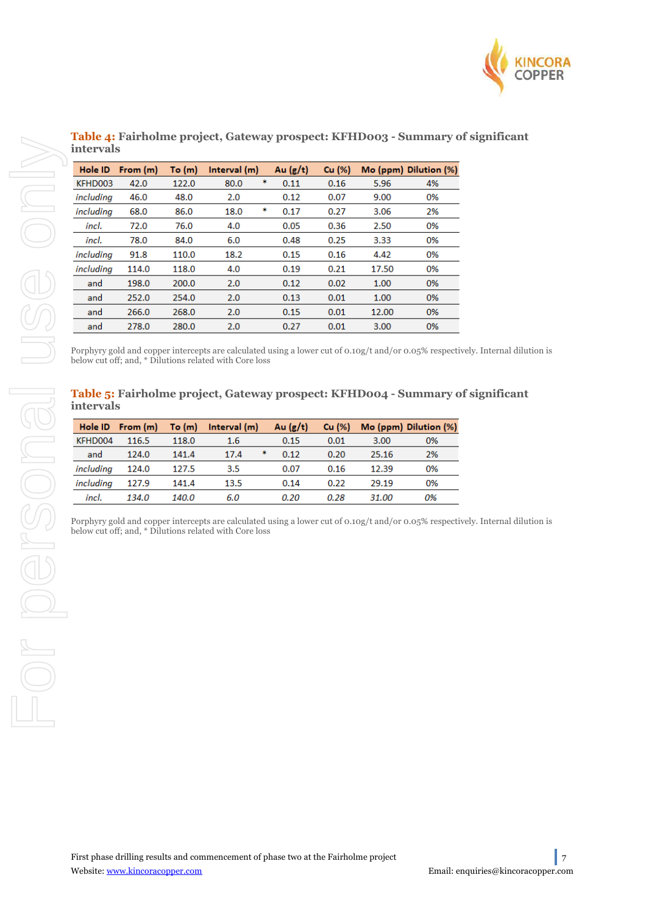

| Hole ID   | From $(m)$ | To $(m)$ | Interval (m) |   | Au $(g/t)$ | Cu (%) |       | Mo (ppm) Dilution (%) |
|-----------|------------|----------|--------------|---|------------|--------|-------|-----------------------|
| KFHD003   | 42.0       | 122.0    | 80.0         | * | 0.11       | 0.16   | 5.96  | 4%                    |
| including | 46.0       | 48.0     | 2.0          |   | 0.12       | 0.07   | 9.00  | 0%                    |
| includina | 68.0       | 86.0     | 18.0         | * | 0.17       | 0.27   | 3.06  | 2%                    |
| incl.     | 72.0       | 76.0     | 4.0          |   | 0.05       | 0.36   | 2.50  | 0%                    |
| incl.     | 78.0       | 84.0     | 6.0          |   | 0.48       | 0.25   | 3.33  | 0%                    |
| including | 91.8       | 110.0    | 18.2         |   | 0.15       | 0.16   | 4.42  | 0%                    |
| including | 114.0      | 118.0    | 4.0          |   | 0.19       | 0.21   | 17.50 | 0%                    |
| and       | 198.0      | 200.0    | 2.0          |   | 0.12       | 0.02   | 1.00  | 0%                    |
| and       | 252.0      | 254.0    | 2.0          |   | 0.13       | 0.01   | 1.00  | 0%                    |
| and       | 266.0      | 268.0    | 2.0          |   | 0.15       | 0.01   | 12.00 | 0%                    |
| and       | 278.0      | 280.0    | 2.0          |   | 0.27       | 0.01   | 3.00  | 0%                    |

## **Table 4: Fairholme project, Gateway prospect: KFHD003 - Summary of significant intervals**

Porphyry gold and copper intercepts are calculated using a lower cut of 0.10g/t and/or 0.05% respectively. Internal dilution is below cut off; and, \* Dilutions related with Core loss

## **intervals**

| Hole ID   | From (m) | To (m) | Interval (m)                                                                                                                                                                       | Au $(g/t)$ | Cu (%) |       | Mo (ppm) Dilution (%) |
|-----------|----------|--------|------------------------------------------------------------------------------------------------------------------------------------------------------------------------------------|------------|--------|-------|-----------------------|
| KFHD004   | 116.5    | 118.0  | 1.6                                                                                                                                                                                | 0.15       | 0.01   | 3.00  | 0%                    |
| and       | 124.0    | 141.4  | 17.4                                                                                                                                                                               | *<br>0.12  | 0.20   | 25.16 | 2%                    |
| including | 124.0    | 127.5  | 3.5                                                                                                                                                                                | 0.07       | 0.16   | 12.39 | 0%                    |
| including | 127.9    | 141.4  | 13.5                                                                                                                                                                               | 0.14       | 0.22   | 29.19 | 0%                    |
| incl.     | 134.0    | 140.0  | 6.0                                                                                                                                                                                | 0.20       | 0.28   | 31.00 | 0%                    |
|           |          |        | Porphyry gold and copper intercepts are calculated using a lower cut of 0.10g/t and/or 0.05% respectively. Internal dilu<br>below cut off; and, * Dilutions related with Core loss |            |        |       |                       |
|           |          |        |                                                                                                                                                                                    |            |        |       |                       |
|           |          |        |                                                                                                                                                                                    |            |        |       |                       |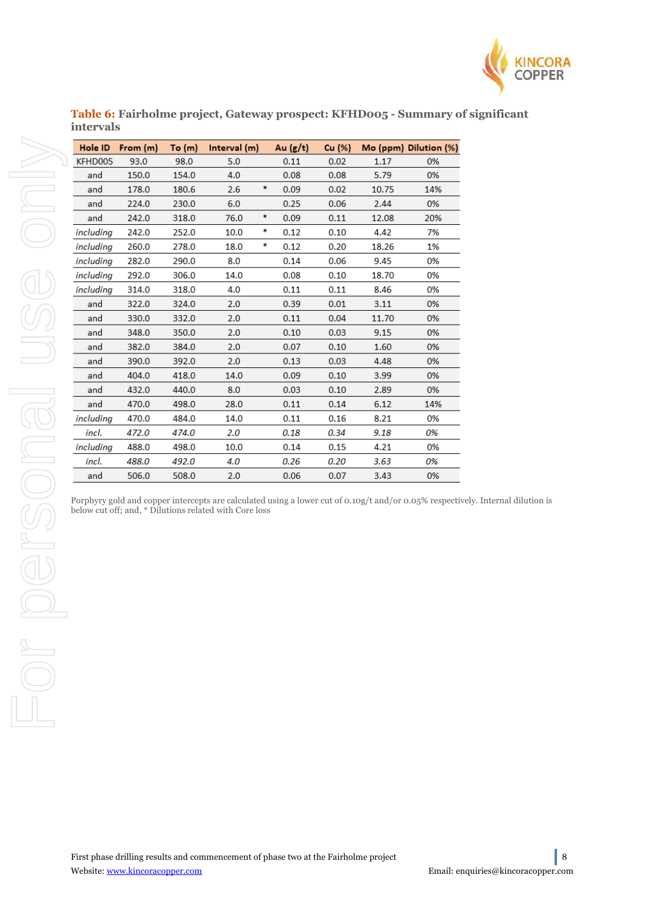

**Table 6: Fairholme project, Gateway prospect: KFHD005 - Summary of significant intervals** 

|           | Hole ID From (m) | To (m) | Interval (m) |    | Au $(g/t)$ | Cu (%) |       | Mo (ppm) Dilution (%) |
|-----------|------------------|--------|--------------|----|------------|--------|-------|-----------------------|
| KFHD005   | 93.0             | 98.0   | 5.0          |    | 0.11       | 0.02   | 1.17  | 0%                    |
| and       | 150.0            | 154.0  | 4.0          |    | 0.08       | 0.08   | 5.79  | 0%                    |
| and       | 178.0            | 180.6  | 2.6          | *  | 0.09       | 0.02   | 10.75 | 14%                   |
| and       | 224.0            | 230.0  | 6.0          |    | 0.25       | 0.06   | 2.44  | 0%                    |
| and       | 242.0            | 318.0  | 76.0         | *  | 0.09       | 0.11   | 12.08 | 20%                   |
| including | 242.0            | 252.0  | 10.0         | *  | 0.12       | 0.10   | 4.42  | 7%                    |
| including | 260.0            | 278.0  | 18.0         | \$ | 0.12       | 0.20   | 18.26 | 1%                    |
| including | 282.0            | 290.0  | 8.0          |    | 0.14       | 0.06   | 9.45  | 0%                    |
| including | 292.0            | 306.0  | 14.0         |    | 0.08       | 0.10   | 18.70 | 0%                    |
| including | 314.0            | 318.0  | 4.0          |    | 0.11       | 0.11   | 8.46  | 0%                    |
| and       | 322.0            | 324.0  | 2.0          |    | 0.39       | 0.01   | 3.11  | 0%                    |
| and       | 330.0            | 332.0  | 2.0          |    | 0.11       | 0.04   | 11.70 | 0%                    |
| and       | 348.0            | 350.0  | 2.0          |    | 0.10       | 0.03   | 9.15  | 0%                    |
| and       | 382.0            | 384.0  | 2.0          |    | 0.07       | 0.10   | 1.60  | 0%                    |
| and       | 390.0            | 392.0  | 2.0          |    | 0.13       | 0.03   | 4.48  | 0%                    |
| and       | 404.0            | 418.0  | 14.0         |    | 0.09       | 0.10   | 3.99  | 0%                    |
| and       | 432.0            | 440.0  | 8.0          |    | 0.03       | 0.10   | 2.89  | 0%                    |
| and       | 470.0            | 498.0  | 28.0         |    | 0.11       | 0.14   | 6.12  | 14%                   |
| including | 470.0            | 484.0  | 14.0         |    | 0.11       | 0.16   | 8.21  | 0%                    |
| incl.     | 472.0            | 474.0  | 2.0          |    | 0.18       | 0.34   | 9.18  | 0%                    |
| including | 488.0            | 498.0  | 10.0         |    | 0.14       | 0.15   | 4.21  | 0%                    |
| incl.     | 488.0            | 492.0  | 4.0          |    | 0.26       | 0.20   | 3.63  | 0%                    |
| and       | 506.0            | 508.0  | 2.0          |    | 0.06       | 0.07   | 3.43  | 0%                    |

Porphyry gold and copper intercepts are calculated using a lower cut of 0.10g/t and/or 0.05% respectively. Internal dilution is below cut off; and, \* Dilutions related with Core loss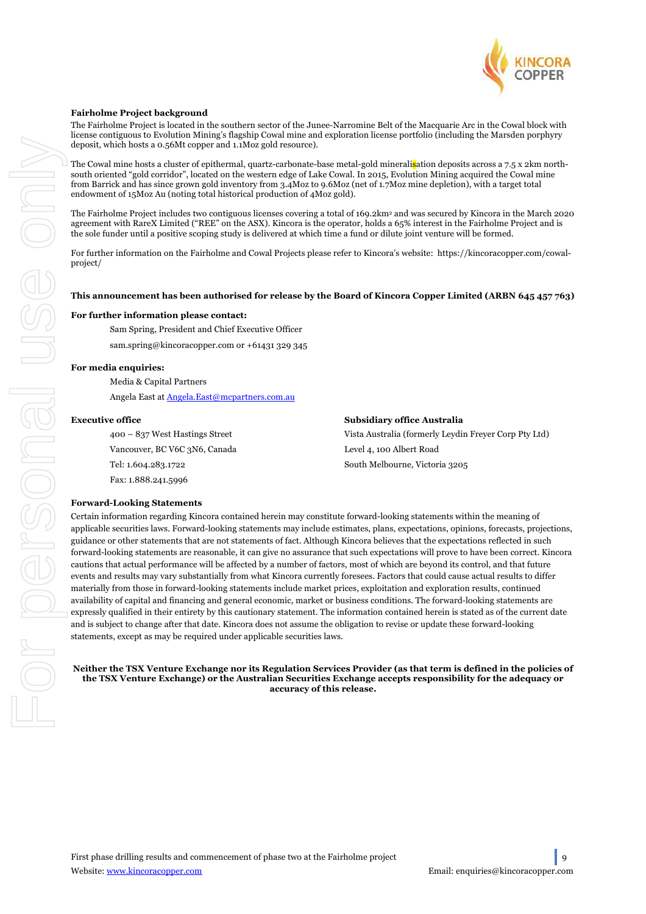

#### **Fairholme Project background**

The Fairholme Project is located in the southern sector of the Junee-Narromine Belt of the Macquarie Arc in the Cowal block with license contiguous to Evolution Mining's flagship Cowal mine and exploration license portfolio (including the Marsden porphyry deposit, which hosts a 0.56Mt copper and 1.1Moz gold resource).

The Cowal mine hosts a cluster of epithermal, quartz-carbonate-base metal-gold mineralisation deposits across a 7.5 x 2km northsouth oriented "gold corridor", located on the western edge of Lake Cowal. In 2015, Evolution Mining acquired the Cowal mine from Barrick and has since grown gold inventory from 3.4Moz to 9.6Moz (net of 1.7Moz mine depletion), with a target total endowment of 15Moz Au (noting total historical production of 4Moz gold).

The Fairholme Project includes two contiguous licenses covering a total of 169.2km<sup>2</sup> and was secured by Kincora in the March 2020 agreement with RareX Limited ("REE" on the ASX). Kincora is the operator, holds a 65% interest in the Fairholme Project and is the sole funder until a positive scoping study is delivered at which time a fund or dilute joint venture will be formed.

For further information on the Fairholme and Cowal Projects please refer to Kincora's website: https://kincoracopper.com/cowalproject/

#### **This announcement has been authorised for release by the Board of Kincora Copper Limited (ARBN 645 457 763)**

#### **For further information please contact:**

Sam Spring, President and Chief Executive Officer

sam.spring@kincoracopper.com or +61431 329 345

#### **For media enquiries:**

Media & Capital Partners Angela East at Angela.East@mcpartners.com.au

#### **Executive office**

400 – 837 West Hastings Street Vancouver, BC V6C 3N6, Canada Tel: 1.604.283.1722 Fax: 1.888.241.5996

| Subsidiary office Australia                           |
|-------------------------------------------------------|
| Vista Australia (formerly Leydin Freyer Corp Pty Ltd) |
| Level 4, 100 Albert Road                              |
| South Melbourne, Victoria 3205                        |

#### **Forward-Looking Statements**

Certain information regarding Kincora contained herein may constitute forward-looking statements within the meaning of applicable securities laws. Forward-looking statements may include estimates, plans, expectations, opinions, forecasts, projections, guidance or other statements that are not statements of fact. Although Kincora believes that the expectations reflected in such forward-looking statements are reasonable, it can give no assurance that such expectations will prove to have been correct. Kincora cautions that actual performance will be affected by a number of factors, most of which are beyond its control, and that future events and results may vary substantially from what Kincora currently foresees. Factors that could cause actual results to differ materially from those in forward-looking statements include market prices, exploitation and exploration results, continued availability of capital and financing and general economic, market or business conditions. The forward-looking statements are expressly qualified in their entirety by this cautionary statement. The information contained herein is stated as of the current date and is subject to change after that date. Kincora does not assume the obligation to revise or update these forward-looking statements, except as may be required under applicable securities laws.

**Neither the TSX Venture Exchange nor its Regulation Services Provider (as that term is defined in the policies of the TSX Venture Exchange) or the Australian Securities Exchange accepts responsibility for the adequacy or accuracy of this release.**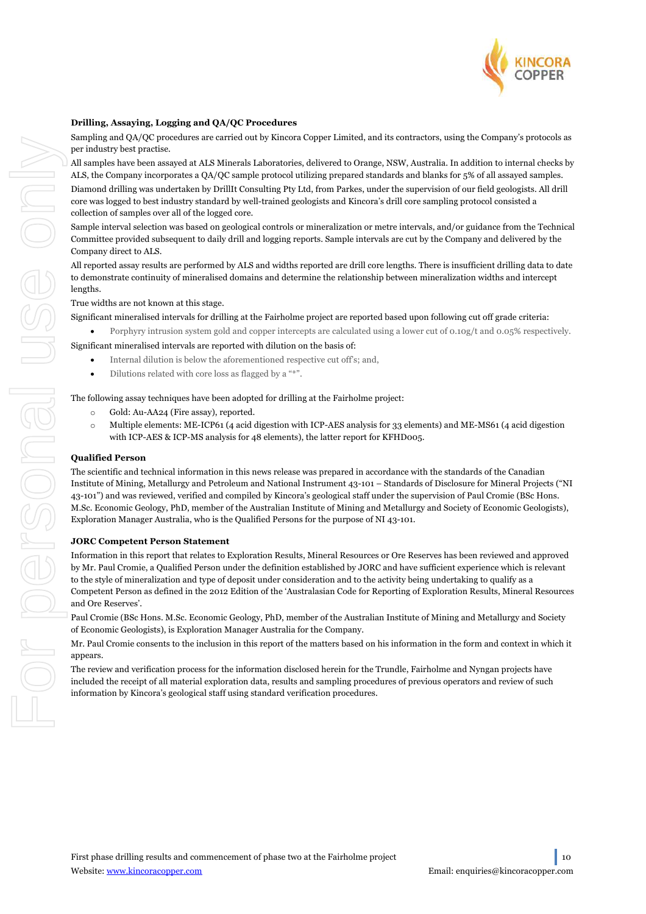

#### **Drilling, Assaying, Logging and QA/QC Procedures**

Sampling and QA/QC procedures are carried out by Kincora Copper Limited, and its contractors, using the Company's protocols as per industry best practise.

All samples have been assayed at ALS Minerals Laboratories, delivered to Orange, NSW, Australia. In addition to internal checks by ALS, the Company incorporates a QA/QC sample protocol utilizing prepared standards and blanks for 5% of all assayed samples. Diamond drilling was undertaken by DrillIt Consulting Pty Ltd, from Parkes, under the supervision of our field geologists. All drill core was logged to best industry standard by well-trained geologists and Kincora's drill core sampling protocol consisted a collection of samples over all of the logged core.

Sample interval selection was based on geological controls or mineralization or metre intervals, and/or guidance from the Technical Committee provided subsequent to daily drill and logging reports. Sample intervals are cut by the Company and delivered by the Company direct to ALS.

All reported assay results are performed by ALS and widths reported are drill core lengths. There is insufficient drilling data to date to demonstrate continuity of mineralised domains and determine the relationship between mineralization widths and intercept lengths.

True widths are not known at this stage.

Significant mineralised intervals for drilling at the Fairholme project are reported based upon following cut off grade criteria:

• Porphyry intrusion system gold and copper intercepts are calculated using a lower cut of 0.10g/t and 0.05% respectively. Significant mineralised intervals are reported with dilution on the basis of:

- Internal dilution is below the aforementioned respective cut off's; and,
- Dilutions related with core loss as flagged by a "\*".

The following assay techniques have been adopted for drilling at the Fairholme project:

- o Gold: Au-AA24 (Fire assay), reported.
- o Multiple elements: ME-ICP61 (4 acid digestion with ICP-AES analysis for 33 elements) and ME-MS61 (4 acid digestion with ICP-AES & ICP-MS analysis for 48 elements), the latter report for KFHD005.

#### **Qualified Person**

The scientific and technical information in this news release was prepared in accordance with the standards of the Canadian Institute of Mining, Metallurgy and Petroleum and National Instrument 43-101 – Standards of Disclosure for Mineral Projects ("NI 43-101") and was reviewed, verified and compiled by Kincora's geological staff under the supervision of Paul Cromie (BSc Hons. M.Sc. Economic Geology, PhD, member of the Australian Institute of Mining and Metallurgy and Society of Economic Geologists), Exploration Manager Australia, who is the Qualified Persons for the purpose of NI 43-101.

#### **JORC Competent Person Statement**

Information in this report that relates to Exploration Results, Mineral Resources or Ore Reserves has been reviewed and approved by Mr. Paul Cromie, a Qualified Person under the definition established by JORC and have sufficient experience which is relevant to the style of mineralization and type of deposit under consideration and to the activity being undertaking to qualify as a Competent Person as defined in the 2012 Edition of the 'Australasian Code for Reporting of Exploration Results, Mineral Resources and Ore Reserves'.

Paul Cromie (BSc Hons. M.Sc. Economic Geology, PhD, member of the Australian Institute of Mining and Metallurgy and Society of Economic Geologists), is Exploration Manager Australia for the Company.

Mr. Paul Cromie consents to the inclusion in this report of the matters based on his information in the form and context in which it appears.

The review and verification process for the information disclosed herein for the Trundle, Fairholme and Nyngan projects have included the receipt of all material exploration data, results and sampling procedures of previous operators and review of such information by Kincora's geological staff using standard verification procedures.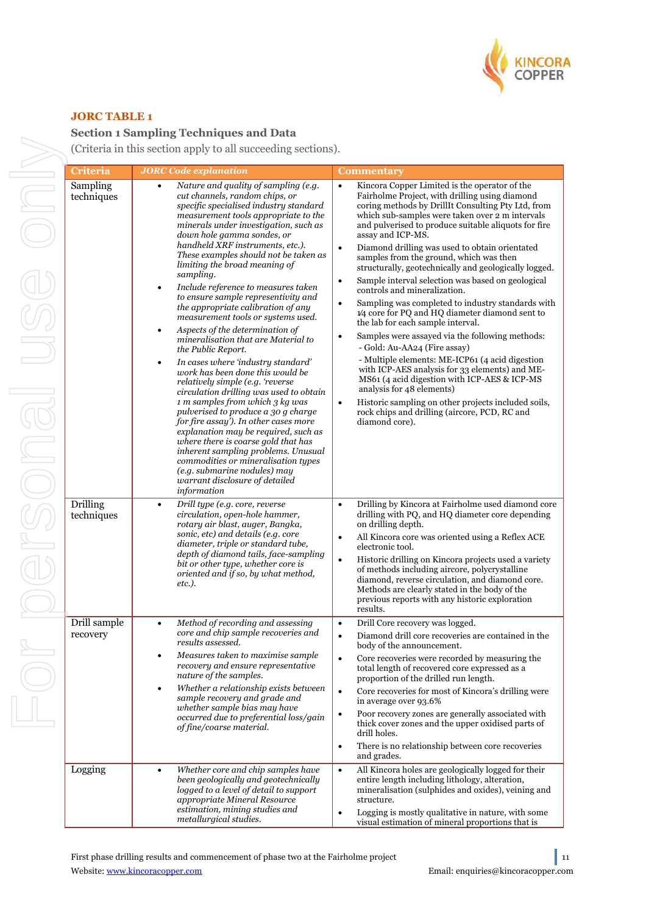

## **JORC TABLE 1**

## **Section 1 Sampling Techniques and Data**

(Criteria in this section apply to all succeeding sections).

| <b>Criteria</b>          | <b>JORC</b> Code explanation                                                                                                                                                                                                                                                                                                                                                                                                                                                                                                                                                                                                                                                                                                                                                                                                                                                                                                                                                                                                                                                                                                                                     | <b>Commentary</b>                                                                                                                                                                                                                                                                                                                                                                                                                                                                                                                                                                                                                                                                                                                                                                                                                                                                                                                                                                                                                                                                                                                                  |
|--------------------------|------------------------------------------------------------------------------------------------------------------------------------------------------------------------------------------------------------------------------------------------------------------------------------------------------------------------------------------------------------------------------------------------------------------------------------------------------------------------------------------------------------------------------------------------------------------------------------------------------------------------------------------------------------------------------------------------------------------------------------------------------------------------------------------------------------------------------------------------------------------------------------------------------------------------------------------------------------------------------------------------------------------------------------------------------------------------------------------------------------------------------------------------------------------|----------------------------------------------------------------------------------------------------------------------------------------------------------------------------------------------------------------------------------------------------------------------------------------------------------------------------------------------------------------------------------------------------------------------------------------------------------------------------------------------------------------------------------------------------------------------------------------------------------------------------------------------------------------------------------------------------------------------------------------------------------------------------------------------------------------------------------------------------------------------------------------------------------------------------------------------------------------------------------------------------------------------------------------------------------------------------------------------------------------------------------------------------|
| Sampling<br>techniques   | Nature and quality of sampling (e.g.<br>cut channels, random chips, or<br>specific specialised industry standard<br>measurement tools appropriate to the<br>minerals under investigation, such as<br>down hole gamma sondes, or<br>handheld XRF instruments, etc.).<br>These examples should not be taken as<br>limiting the broad meaning of<br>sampling.<br>Include reference to measures taken<br>٠<br>to ensure sample representivity and<br>the appropriate calibration of any<br>measurement tools or systems used.<br>Aspects of the determination of<br>mineralisation that are Material to<br>the Public Report.<br>In cases where 'industry standard'<br>$\bullet$<br>work has been done this would be<br>relatively simple (e.g. 'reverse<br>circulation drilling was used to obtain<br>1 m samples from which 3 kg was<br>pulverised to produce a 30 g charge<br>for fire assay'). In other cases more<br>explanation may be required, such as<br>where there is coarse gold that has<br>inherent sampling problems. Unusual<br>commodities or mineralisation types<br>(e.g. submarine nodules) may<br>warrant disclosure of detailed<br>information | Kincora Copper Limited is the operator of the<br>$\bullet$<br>Fairholme Project, with drilling using diamond<br>coring methods by DrillIt Consulting Pty Ltd, from<br>which sub-samples were taken over 2 m intervals<br>and pulverised to produce suitable aliquots for fire<br>assay and ICP-MS.<br>Diamond drilling was used to obtain orientated<br>$\bullet$<br>samples from the ground, which was then<br>structurally, geotechnically and geologically logged.<br>Sample interval selection was based on geological<br>$\bullet$<br>controls and mineralization.<br>Sampling was completed to industry standards with<br>$\bullet$<br>1/4 core for PQ and HQ diameter diamond sent to<br>the lab for each sample interval.<br>Samples were assayed via the following methods:<br>٠<br>- Gold: Au-AA24 (Fire assay)<br>- Multiple elements: ME-ICP61 (4 acid digestion<br>with ICP-AES analysis for 33 elements) and ME-<br>MS61 (4 acid digestion with ICP-AES & ICP-MS<br>analysis for 48 elements)<br>Historic sampling on other projects included soils,<br>$\bullet$<br>rock chips and drilling (aircore, PCD, RC and<br>diamond core). |
| Drilling<br>techniques   | Drill type (e.g. core, reverse<br>$\bullet$<br>circulation, open-hole hammer,<br>rotary air blast, auger, Bangka,<br>sonic, etc) and details (e.g. core<br>diameter, triple or standard tube,<br>depth of diamond tails, face-sampling<br>bit or other type, whether core is<br>oriented and if so, by what method,<br><i>etc.).</i>                                                                                                                                                                                                                                                                                                                                                                                                                                                                                                                                                                                                                                                                                                                                                                                                                             | Drilling by Kincora at Fairholme used diamond core<br>$\bullet$<br>drilling with PQ, and HQ diameter core depending<br>on drilling depth.<br>All Kincora core was oriented using a Reflex ACE<br>$\bullet$<br>electronic tool.<br>Historic drilling on Kincora projects used a variety<br>$\bullet$<br>of methods including aircore, polycrystalline<br>diamond, reverse circulation, and diamond core.<br>Methods are clearly stated in the body of the<br>previous reports with any historic exploration<br>results.                                                                                                                                                                                                                                                                                                                                                                                                                                                                                                                                                                                                                             |
| Drill sample<br>recovery | Method of recording and assessing<br>core and chip sample recoveries and<br>results assessed.<br>Measures taken to maximise sample<br>recovery and ensure representative<br>nature of the samples.<br>Whether a relationship exists between<br>sample recovery and grade and<br>whether sample bias may have<br>occurred due to preferential loss/gain<br>of fine/coarse material.                                                                                                                                                                                                                                                                                                                                                                                                                                                                                                                                                                                                                                                                                                                                                                               | Drill Core recovery was logged.<br>$\bullet$<br>Diamond drill core recoveries are contained in the<br>$\bullet$<br>body of the announcement.<br>Core recoveries were recorded by measuring the<br>$\bullet$<br>total length of recovered core expressed as a<br>proportion of the drilled run length.<br>Core recoveries for most of Kincora's drilling were<br>$\bullet$<br>in average over 93.6%<br>Poor recovery zones are generally associated with<br>thick cover zones and the upper oxidised parts of<br>drill holes.<br>There is no relationship between core recoveries<br>$\bullet$<br>and grades.                                                                                                                                                                                                                                                                                                                                                                                                                                                                                                                                       |
| Logging                  | Whether core and chip samples have<br>$\bullet$<br>been geologically and geotechnically<br>logged to a level of detail to support<br>appropriate Mineral Resource<br>estimation, mining studies and<br>metallurgical studies.                                                                                                                                                                                                                                                                                                                                                                                                                                                                                                                                                                                                                                                                                                                                                                                                                                                                                                                                    | All Kincora holes are geologically logged for their<br>$\bullet$<br>entire length including lithology, alteration,<br>mineralisation (sulphides and oxides), veining and<br>structure.<br>Logging is mostly qualitative in nature, with some<br>$\bullet$<br>visual estimation of mineral proportions that is                                                                                                                                                                                                                                                                                                                                                                                                                                                                                                                                                                                                                                                                                                                                                                                                                                      |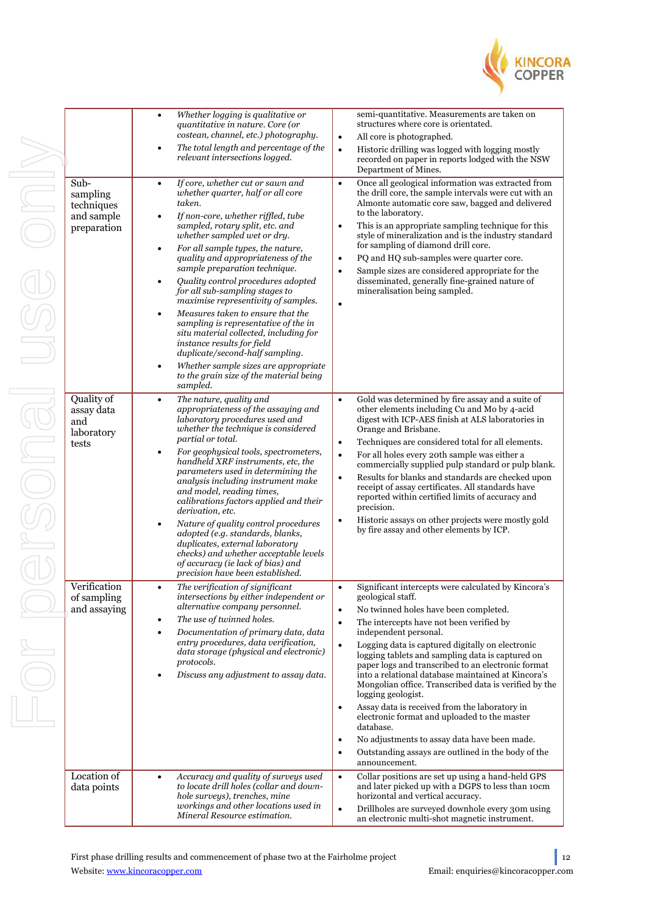

|                                                                                | Whether logging is qualitative or<br>$\bullet$<br>quantitative in nature. Core (or<br>costean, channel, etc.) photography.<br>The total length and percentage of the<br>٠<br>relevant intersections logged.                                                                                                                                                                                                                                                                                                                                                                                                                                                                                                                                                                     | semi-quantitative. Measurements are taken on<br>structures where core is orientated.<br>All core is photographed.<br>$\bullet$<br>Historic drilling was logged with logging mostly<br>$\bullet$<br>recorded on paper in reports lodged with the NSW<br>Department of Mines.                                                                                                                                                                                                                                                                                                                                                                                                                                                                                                                                               |
|--------------------------------------------------------------------------------|---------------------------------------------------------------------------------------------------------------------------------------------------------------------------------------------------------------------------------------------------------------------------------------------------------------------------------------------------------------------------------------------------------------------------------------------------------------------------------------------------------------------------------------------------------------------------------------------------------------------------------------------------------------------------------------------------------------------------------------------------------------------------------|---------------------------------------------------------------------------------------------------------------------------------------------------------------------------------------------------------------------------------------------------------------------------------------------------------------------------------------------------------------------------------------------------------------------------------------------------------------------------------------------------------------------------------------------------------------------------------------------------------------------------------------------------------------------------------------------------------------------------------------------------------------------------------------------------------------------------|
| $\overline{\text{Sub}}$<br>sampling<br>techniques<br>and sample<br>preparation | If core, whether cut or sawn and<br>$\bullet$<br>whether quarter, half or all core<br>taken.<br>If non-core, whether riffled, tube<br>$\bullet$<br>sampled, rotary split, etc. and<br>whether sampled wet or dry.<br>For all sample types, the nature,<br>$\bullet$<br>quality and appropriateness of the<br>sample preparation technique.<br>Quality control procedures adopted<br>$\bullet$<br>for all sub-sampling stages to<br>maximise representivity of samples.<br>Measures taken to ensure that the<br>$\bullet$<br>sampling is representative of the in<br>situ material collected, including for<br>instance results for field<br>duplicate/second-half sampling.<br>Whether sample sizes are appropriate<br>٠<br>to the grain size of the material being<br>sampled. | Once all geological information was extracted from<br>$\bullet$<br>the drill core, the sample intervals were cut with an<br>Almonte automatic core saw, bagged and delivered<br>to the laboratory.<br>This is an appropriate sampling technique for this<br>$\bullet$<br>style of mineralization and is the industry standard<br>for sampling of diamond drill core.<br>PQ and HQ sub-samples were quarter core.<br>$\bullet$<br>Sample sizes are considered appropriate for the<br>$\bullet$<br>disseminated, generally fine-grained nature of<br>mineralisation being sampled.<br>$\bullet$                                                                                                                                                                                                                             |
| Quality of<br>assay data<br>and<br>laboratory<br>tests                         | The nature, quality and<br>$\bullet$<br>appropriateness of the assaying and<br>laboratory procedures used and<br>whether the technique is considered<br>partial or total.<br>For geophysical tools, spectrometers,<br>$\bullet$<br>handheld XRF instruments, etc, the<br>parameters used in determining the<br>analysis including instrument make<br>and model, reading times,<br>calibrations factors applied and their<br>derivation, etc.<br>Nature of quality control procedures<br>$\bullet$<br>adopted (e.g. standards, blanks,<br>duplicates, external laboratory<br>checks) and whether acceptable levels<br>of accuracy (ie lack of bias) and<br>precision have been established.                                                                                      | Gold was determined by fire assay and a suite of<br>$\bullet$<br>other elements including Cu and Mo by 4-acid<br>digest with ICP-AES finish at ALS laboratories in<br>Orange and Brisbane.<br>Techniques are considered total for all elements.<br>$\bullet$<br>For all holes every 20th sample was either a<br>$\bullet$<br>commercially supplied pulp standard or pulp blank.<br>Results for blanks and standards are checked upon<br>$\bullet$<br>receipt of assay certificates. All standards have<br>reported within certified limits of accuracy and<br>precision.<br>Historic assays on other projects were mostly gold<br>$\bullet$<br>by fire assay and other elements by ICP.                                                                                                                                   |
| Verification<br>of sampling<br>and assaying                                    | The verification of significant<br>$\bullet$<br>intersections by either independent or<br>alternative company personnel.<br>The use of twinned holes.<br>$\bullet$<br>Documentation of primary data, data<br>$\bullet$<br>entry procedures, data verification,<br>data storage (physical and electronic)<br>protocols.<br>Discuss any adjustment to assay data.<br>٠                                                                                                                                                                                                                                                                                                                                                                                                            | Significant intercepts were calculated by Kincora's<br>$\bullet$<br>geological staff.<br>No twinned holes have been completed.<br>$\bullet$<br>The intercepts have not been verified by<br>$\bullet$<br>independent personal.<br>Logging data is captured digitally on electronic<br>$\bullet$<br>logging tablets and sampling data is captured on<br>paper logs and transcribed to an electronic format<br>into a relational database maintained at Kincora's<br>Mongolian office. Transcribed data is verified by the<br>logging geologist.<br>Assay data is received from the laboratory in<br>$\bullet$<br>electronic format and uploaded to the master<br>database.<br>No adjustments to assay data have been made.<br>$\bullet$<br>Outstanding assays are outlined in the body of the<br>$\bullet$<br>announcement. |
| Location of<br>data points                                                     | Accuracy and quality of surveys used<br>$\bullet$<br>to locate drill holes (collar and down-<br>hole surveys), trenches, mine<br>workings and other locations used in<br>Mineral Resource estimation.                                                                                                                                                                                                                                                                                                                                                                                                                                                                                                                                                                           | Collar positions are set up using a hand-held GPS<br>$\bullet$<br>and later picked up with a DGPS to less than 10cm<br>horizontal and vertical accuracy.<br>$\bullet$<br>Drillholes are surveyed downhole every 30m using<br>an electronic multi-shot magnetic instrument.                                                                                                                                                                                                                                                                                                                                                                                                                                                                                                                                                |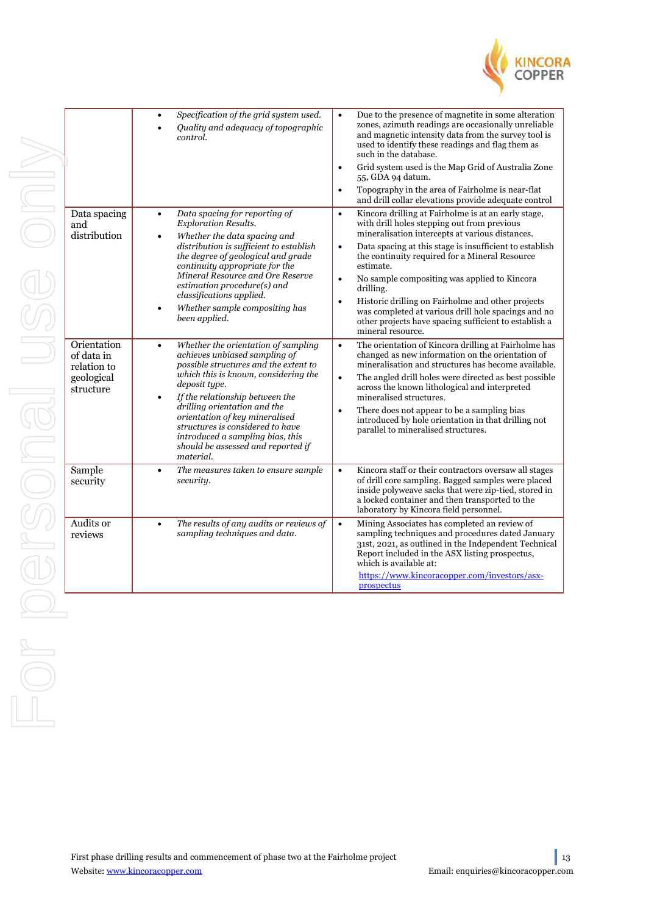

|                     | Data spacing                                         |  |
|---------------------|------------------------------------------------------|--|
|                     | and<br>distribution                                  |  |
|                     | Orientation                                          |  |
|                     | of data in<br>relation to<br>geological<br>structure |  |
|                     | Sample<br>security                                   |  |
|                     | Audits or<br>reviews                                 |  |
|                     |                                                      |  |
| $\sim$<br>$\subset$ |                                                      |  |
|                     |                                                      |  |

| Data spacing<br>Kincora drilling at Fairholme is at an early stage,<br>Data spacing for reporting of<br>$\bullet$<br>$\bullet$<br><b>Exploration Results.</b><br>with drill holes stepping out from previous<br>and<br>mineralisation intercepts at various distances.<br>distribution<br>Whether the data spacing and<br>$\bullet$<br>distribution is sufficient to establish<br>Data spacing at this stage is insufficient to establish<br>$\bullet$<br>the degree of geological and grade<br>the continuity required for a Mineral Resource<br>continuity appropriate for the<br>estimate.<br>Mineral Resource and Ore Reserve<br>No sample compositing was applied to Kincora<br>$\bullet$<br>estimation procedure(s) and<br>drilling.<br>classifications applied.<br>Historic drilling on Fairholme and other projects<br>$\bullet$<br>Whether sample compositing has<br>٠<br>was completed at various drill hole spacings and no<br>been applied.<br>other projects have spacing sufficient to establish a<br>mineral resource.<br>Orientation<br>Whether the orientation of sampling<br>The orientation of Kincora drilling at Fairholme has<br>$\bullet$<br>$\bullet$<br>achieves unbiased sampling of<br>changed as new information on the orientation of<br>of data in<br>possible structures and the extent to<br>mineralisation and structures has become available.<br>relation to<br>which this is known, considering the<br>The angled drill holes were directed as best possible<br>geological<br>$\bullet$<br>deposit type.<br>across the known lithological and interpreted<br>structure<br>If the relationship between the<br>mineralised structures.<br>$\bullet$<br>drilling orientation and the<br>There does not appear to be a sampling bias<br>$\bullet$<br>orientation of key mineralised<br>introduced by hole orientation in that drilling not<br>structures is considered to have<br>parallel to mineralised structures.<br>introduced a sampling bias, this<br>should be assessed and reported if<br>material.<br>Sample<br>Kincora staff or their contractors oversaw all stages<br>The measures taken to ensure sample<br>$\bullet$<br>٠<br>of drill core sampling. Bagged samples were placed<br>security.<br>security<br>inside polyweave sacks that were zip-tied, stored in<br>a locked container and then transported to the<br>laboratory by Kincora field personnel.<br>Audits or<br>The results of any audits or reviews of<br>$\bullet$<br>Mining Associates has completed an review of<br>$\bullet$<br>sampling techniques and procedures dated January<br>sampling techniques and data.<br>reviews<br>31st, 2021, as outlined in the Independent Technical<br>Report included in the ASX listing prospectus,<br>which is available at:<br>https://www.kincoracopper.com/investors/asx-<br>prospectus | Specification of the grid system used.<br>٠<br>Quality and adequacy of topographic<br>control. | Due to the presence of magnetite in some alteration<br>$\bullet$<br>zones, azimuth readings are occasionally unreliable<br>and magnetic intensity data from the survey tool is<br>used to identify these readings and flag them as<br>such in the database.<br>Grid system used is the Map Grid of Australia Zone<br>$\bullet$<br>55, GDA 94 datum.<br>Topography in the area of Fairholme is near-flat<br>$\bullet$<br>and drill collar elevations provide adequate control |
|-------------------------------------------------------------------------------------------------------------------------------------------------------------------------------------------------------------------------------------------------------------------------------------------------------------------------------------------------------------------------------------------------------------------------------------------------------------------------------------------------------------------------------------------------------------------------------------------------------------------------------------------------------------------------------------------------------------------------------------------------------------------------------------------------------------------------------------------------------------------------------------------------------------------------------------------------------------------------------------------------------------------------------------------------------------------------------------------------------------------------------------------------------------------------------------------------------------------------------------------------------------------------------------------------------------------------------------------------------------------------------------------------------------------------------------------------------------------------------------------------------------------------------------------------------------------------------------------------------------------------------------------------------------------------------------------------------------------------------------------------------------------------------------------------------------------------------------------------------------------------------------------------------------------------------------------------------------------------------------------------------------------------------------------------------------------------------------------------------------------------------------------------------------------------------------------------------------------------------------------------------------------------------------------------------------------------------------------------------------------------------------------------------------------------------------------------------------------------------------------------------------------------------------------------------------------------------------------------------------------------------------------------------------------------------------------------------------------------------------------------------------------------------------------------------------------------------------------------|------------------------------------------------------------------------------------------------|------------------------------------------------------------------------------------------------------------------------------------------------------------------------------------------------------------------------------------------------------------------------------------------------------------------------------------------------------------------------------------------------------------------------------------------------------------------------------|
|                                                                                                                                                                                                                                                                                                                                                                                                                                                                                                                                                                                                                                                                                                                                                                                                                                                                                                                                                                                                                                                                                                                                                                                                                                                                                                                                                                                                                                                                                                                                                                                                                                                                                                                                                                                                                                                                                                                                                                                                                                                                                                                                                                                                                                                                                                                                                                                                                                                                                                                                                                                                                                                                                                                                                                                                                                                 |                                                                                                |                                                                                                                                                                                                                                                                                                                                                                                                                                                                              |
|                                                                                                                                                                                                                                                                                                                                                                                                                                                                                                                                                                                                                                                                                                                                                                                                                                                                                                                                                                                                                                                                                                                                                                                                                                                                                                                                                                                                                                                                                                                                                                                                                                                                                                                                                                                                                                                                                                                                                                                                                                                                                                                                                                                                                                                                                                                                                                                                                                                                                                                                                                                                                                                                                                                                                                                                                                                 |                                                                                                |                                                                                                                                                                                                                                                                                                                                                                                                                                                                              |
|                                                                                                                                                                                                                                                                                                                                                                                                                                                                                                                                                                                                                                                                                                                                                                                                                                                                                                                                                                                                                                                                                                                                                                                                                                                                                                                                                                                                                                                                                                                                                                                                                                                                                                                                                                                                                                                                                                                                                                                                                                                                                                                                                                                                                                                                                                                                                                                                                                                                                                                                                                                                                                                                                                                                                                                                                                                 |                                                                                                |                                                                                                                                                                                                                                                                                                                                                                                                                                                                              |
|                                                                                                                                                                                                                                                                                                                                                                                                                                                                                                                                                                                                                                                                                                                                                                                                                                                                                                                                                                                                                                                                                                                                                                                                                                                                                                                                                                                                                                                                                                                                                                                                                                                                                                                                                                                                                                                                                                                                                                                                                                                                                                                                                                                                                                                                                                                                                                                                                                                                                                                                                                                                                                                                                                                                                                                                                                                 |                                                                                                |                                                                                                                                                                                                                                                                                                                                                                                                                                                                              |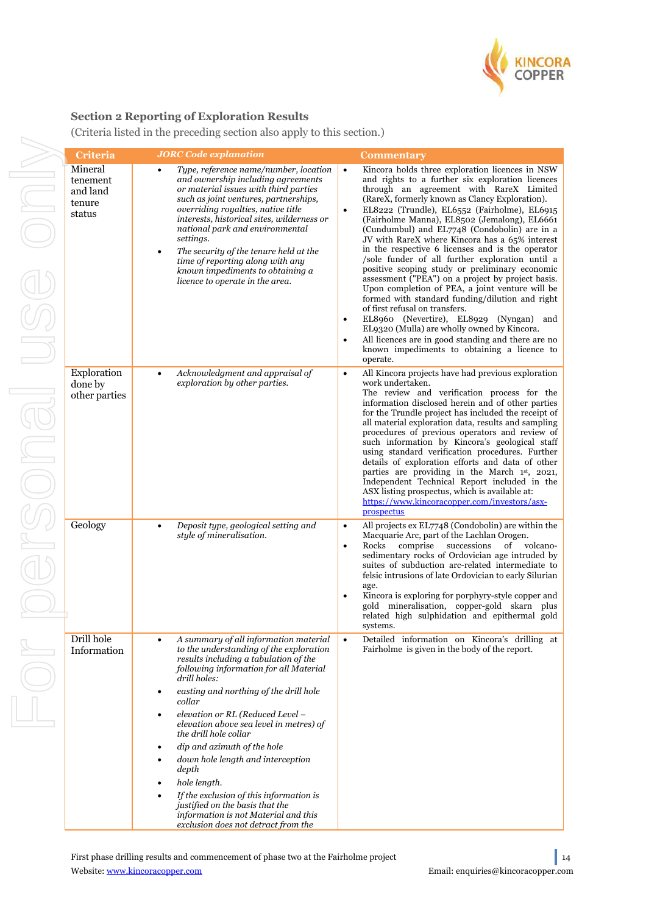

## **Section 2 Reporting of Exploration Results**

For personal use only For personal use onl

(Criteria listed in the preceding section also apply to this section.)

| Criteria                                            | <b>JORC</b> Code explanation                                                                                                                                                                                                                                                                                                                                                                                                                                                                                                                                                                                                | <b>Commentary</b>                                                                                                                                                                                                                                                                                                                                                                                                                                                                                                                                                                                                                                                                                                                                                                                                                                                                                                                                                                                                  |
|-----------------------------------------------------|-----------------------------------------------------------------------------------------------------------------------------------------------------------------------------------------------------------------------------------------------------------------------------------------------------------------------------------------------------------------------------------------------------------------------------------------------------------------------------------------------------------------------------------------------------------------------------------------------------------------------------|--------------------------------------------------------------------------------------------------------------------------------------------------------------------------------------------------------------------------------------------------------------------------------------------------------------------------------------------------------------------------------------------------------------------------------------------------------------------------------------------------------------------------------------------------------------------------------------------------------------------------------------------------------------------------------------------------------------------------------------------------------------------------------------------------------------------------------------------------------------------------------------------------------------------------------------------------------------------------------------------------------------------|
| Mineral<br>tenement<br>and land<br>tenure<br>status | Type, reference name/number, location<br>and ownership including agreements<br>or material issues with third parties<br>such as joint ventures, partnerships,<br>overriding royalties, native title<br>interests, historical sites, wilderness or<br>national park and environmental<br>settings.<br>The security of the tenure held at the<br>$\bullet$<br>time of reporting along with any<br>known impediments to obtaining a<br>licence to operate in the area.                                                                                                                                                         | Kincora holds three exploration licences in NSW<br>$\bullet$<br>and rights to a further six exploration licences<br>through an agreement with RareX Limited<br>(RareX, formerly known as Clancy Exploration).<br>EL8222 (Trundle), EL6552 (Fairholme), EL6915<br>$\bullet$<br>(Fairholme Manna), EL8502 (Jemalong), EL6661<br>(Cundumbul) and EL7748 (Condobolin) are in a<br>JV with RareX where Kincora has a 65% interest<br>in the respective 6 licenses and is the operator<br>/sole funder of all further exploration until a<br>positive scoping study or preliminary economic<br>assessment ("PEA") on a project by project basis.<br>Upon completion of PEA, a joint venture will be<br>formed with standard funding/dilution and right<br>of first refusal on transfers.<br>EL8960 (Nevertire), EL8929 (Nyngan)<br>and<br>٠<br>EL9320 (Mulla) are wholly owned by Kincora.<br>All licences are in good standing and there are no<br>$\bullet$<br>known impediments to obtaining a licence to<br>operate. |
| Exploration<br>done by<br>other parties             | Acknowledgment and appraisal of<br>$\bullet$<br>exploration by other parties.                                                                                                                                                                                                                                                                                                                                                                                                                                                                                                                                               | All Kincora projects have had previous exploration<br>$\bullet$<br>work undertaken.<br>The review and verification process for the<br>information disclosed herein and of other parties<br>for the Trundle project has included the receipt of<br>all material exploration data, results and sampling<br>procedures of previous operators and review of<br>such information by Kincora's geological staff<br>using standard verification procedures. Further<br>details of exploration efforts and data of other<br>parties are providing in the March 1st, 2021,<br>Independent Technical Report included in the<br>ASX listing prospectus, which is available at:<br>https://www.kincoracopper.com/investors/asx-<br>prospectus                                                                                                                                                                                                                                                                                  |
| Geology                                             | Deposit type, geological setting and<br>$\bullet$<br>style of mineralisation.                                                                                                                                                                                                                                                                                                                                                                                                                                                                                                                                               | All projects ex EL7748 (Condobolin) are within the<br>$\bullet$<br>Macquarie Arc, part of the Lachlan Orogen.<br>Rocks<br>comprise<br>successions<br>of volcano-<br>$\bullet$<br>sedimentary rocks of Ordovician age intruded by<br>suites of subduction arc-related intermediate to<br>felsic intrusions of late Ordovician to early Silurian<br>age.<br>Kincora is exploring for porphyry-style copper and<br>$\bullet$<br>gold mineralisation, copper-gold skarn plus<br>related high sulphidation and epithermal gold<br>systems.                                                                                                                                                                                                                                                                                                                                                                                                                                                                              |
| Drill hole<br>Information                           | A summary of all information material<br>٠<br>to the understanding of the exploration<br>results including a tabulation of the<br>following information for all Material<br>drill holes:<br>easting and northing of the drill hole<br>$\bullet$<br>collar<br>elevation or RL (Reduced Level -<br>elevation above sea level in metres) of<br>the drill hole collar<br>dip and azimuth of the hole<br>down hole length and interception<br>depth<br>hole length.<br>If the exclusion of this information is<br>justified on the basis that the<br>information is not Material and this<br>exclusion does not detract from the | Detailed information on Kincora's drilling at<br>$\bullet$<br>Fairholme is given in the body of the report.                                                                                                                                                                                                                                                                                                                                                                                                                                                                                                                                                                                                                                                                                                                                                                                                                                                                                                        |